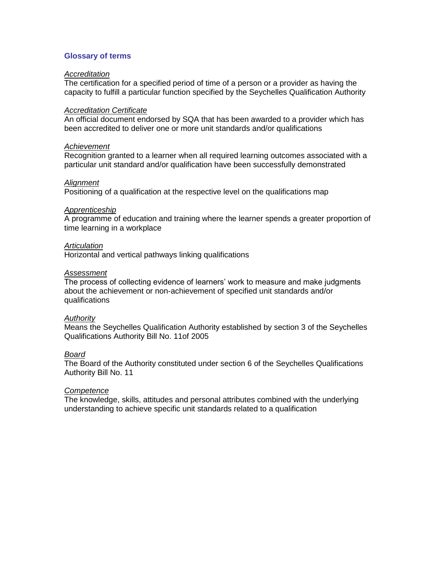# **Glossary of terms**

#### *Accreditation*

The certification for a specified period of time of a person or a provider as having the capacity to fulfill a particular function specified by the Seychelles Qualification Authority

#### *Accreditation Certificate*

An official document endorsed by SQA that has been awarded to a provider which has been accredited to deliver one or more unit standards and/or qualifications

## *Achievement*

Recognition granted to a learner when all required learning outcomes associated with a particular unit standard and/or qualification have been successfully demonstrated

#### *Alignment*

Positioning of a qualification at the respective level on the qualifications map

#### *Apprenticeship*

A programme of education and training where the learner spends a greater proportion of time learning in a workplace

## *Articulation*

Horizontal and vertical pathways linking qualifications

#### *Assessment*

The process of collecting evidence of learners' work to measure and make judgments about the achievement or non-achievement of specified unit standards and/or qualifications

## *Authority*

Means the Seychelles Qualification Authority established by section 3 of the Seychelles Qualifications Authority Bill No. 11of 2005

## *Board*

The Board of the Authority constituted under section 6 of the Seychelles Qualifications Authority Bill No. 11

# *Competence*

The knowledge, skills, attitudes and personal attributes combined with the underlying understanding to achieve specific unit standards related to a qualification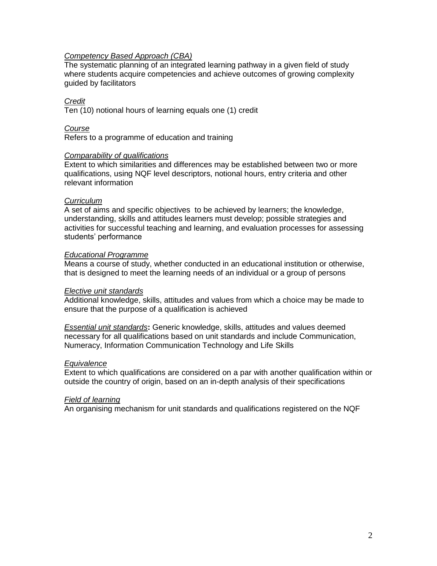## *Competency Based Approach (CBA)*

The systematic planning of an integrated learning pathway in a given field of study where students acquire competencies and achieve outcomes of growing complexity guided by facilitators

# *Credit*

Ten (10) notional hours of learning equals one (1) credit

# *Course*

Refers to a programme of education and training

## *Comparability of qualifications*

Extent to which similarities and differences may be established between two or more qualifications, using NQF level descriptors, notional hours, entry criteria and other relevant information

# *Curriculum*

A set of aims and specific objectives to be achieved by learners; the knowledge, understanding, skills and attitudes learners must develop; possible strategies and activities for successful teaching and learning, and evaluation processes for assessing students' performance

## *Educational Programme*

Means a course of study, whether conducted in an educational institution or otherwise, that is designed to meet the learning needs of an individual or a group of persons

## *Elective unit standards*

Additional knowledge, skills, attitudes and values from which a choice may be made to ensure that the purpose of a qualification is achieved

*Essential unit standards***:** Generic knowledge, skills, attitudes and values deemed necessary for all qualifications based on unit standards and include Communication, Numeracy, Information Communication Technology and Life Skills

## *Equivalence*

Extent to which qualifications are considered on a par with another qualification within or outside the country of origin, based on an in-depth analysis of their specifications

## *Field of learning*

An organising mechanism for unit standards and qualifications registered on the NQF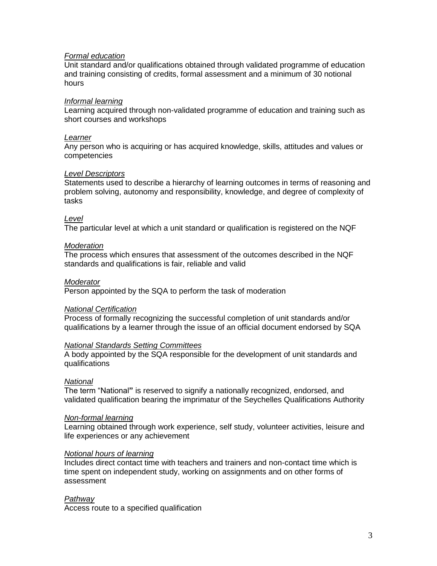## *Formal education*

Unit standard and/or qualifications obtained through validated programme of education and training consisting of credits, formal assessment and a minimum of 30 notional hours

## *Informal learning*

Learning acquired through non-validated programme of education and training such as short courses and workshops

## *Learner*

Any person who is acquiring or has acquired knowledge, skills, attitudes and values or competencies

## *Level Descriptors*

Statements used to describe a hierarchy of learning outcomes in terms of reasoning and problem solving, autonomy and responsibility, knowledge, and degree of complexity of tasks

## *Level*

The particular level at which a unit standard or qualification is registered on the NQF

## *Moderation*

The process which ensures that assessment of the outcomes described in the NQF standards and qualifications is fair, reliable and valid

## *Moderator*

Person appointed by the SQA to perform the task of moderation

## *National Certification*

Process of formally recognizing the successful completion of unit standards and/or qualifications by a learner through the issue of an official document endorsed by SQA

## *National Standards Setting Committees*

A body appointed by the SQA responsible for the development of unit standards and qualifications

## *National*

The term "National**"** is reserved to signify a nationally recognized, endorsed, and validated qualification bearing the imprimatur of the Seychelles Qualifications Authority

## *Non-formal learning*

Learning obtained through work experience, self study, volunteer activities, leisure and life experiences or any achievement

## *Notional hours of learning*

Includes direct contact time with teachers and trainers and non-contact time which is time spent on independent study, working on assignments and on other forms of assessment

# *Pathway*

Access route to a specified qualification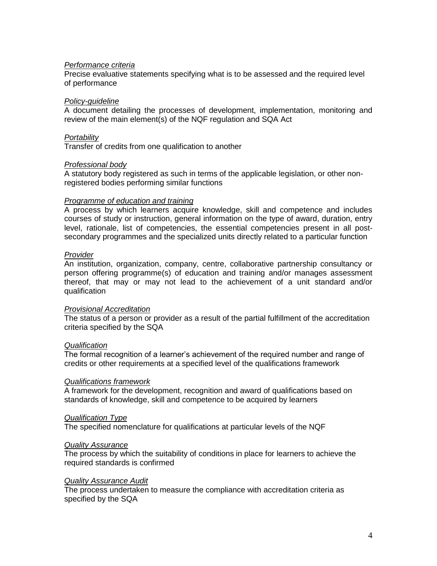## *Performance criteria*

Precise evaluative statements specifying what is to be assessed and the required level of performance

## *Policy-guideline*

A document detailing the processes of development, implementation, monitoring and review of the main element(s) of the NQF regulation and SQA Act

## *Portability*

Transfer of credits from one qualification to another

## *Professional body*

A statutory body registered as such in terms of the applicable legislation, or other nonregistered bodies performing similar functions

## *Programme of education and training*

A process by which learners acquire knowledge, skill and competence and includes courses of study or instruction, general information on the type of award, duration, entry level, rationale, list of competencies, the essential competencies present in all postsecondary programmes and the specialized units directly related to a particular function

## *Provider*

An institution, organization, company, centre, collaborative partnership consultancy or person offering programme(s) of education and training and/or manages assessment thereof, that may or may not lead to the achievement of a unit standard and/or qualification

## *Provisional Accreditation*

The status of a person or provider as a result of the partial fulfillment of the accreditation criteria specified by the SQA

## *Qualification*

The formal recognition of a learner's achievement of the required number and range of credits or other requirements at a specified level of the qualifications framework

## *Qualifications framework*

A framework for the development, recognition and award of qualifications based on standards of knowledge, skill and competence to be acquired by learners

## *Qualification Type*

The specified nomenclature for qualifications at particular levels of the NQF

## *Quality Assurance*

The process by which the suitability of conditions in place for learners to achieve the required standards is confirmed

## *Quality Assurance Audit*

The process undertaken to measure the compliance with accreditation criteria as specified by the SQA